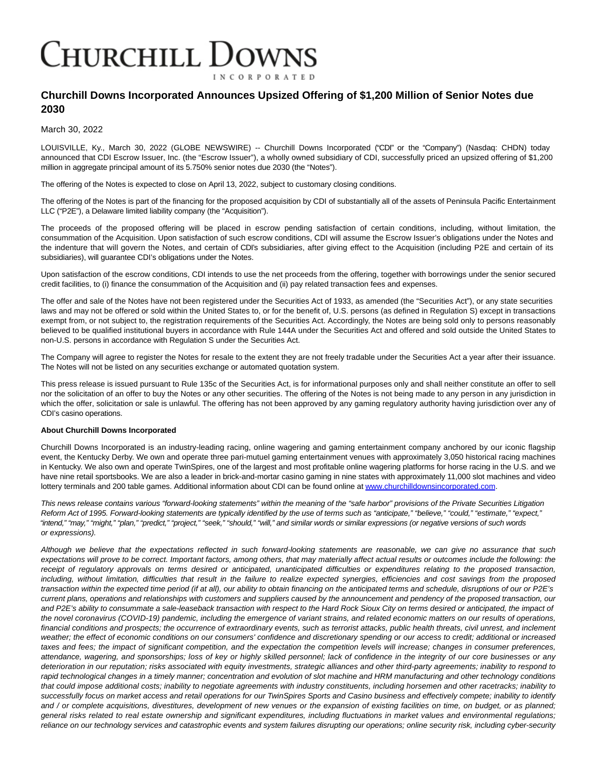## **CHURCHILL DOWNS INCORPORATED**

## **Churchill Downs Incorporated Announces Upsized Offering of \$1,200 Million of Senior Notes due 2030**

March 30, 2022

LOUISVILLE, Ky., March 30, 2022 (GLOBE NEWSWIRE) -- Churchill Downs Incorporated ("CDI" or the "Company") (Nasdaq: CHDN) today announced that CDI Escrow Issuer, Inc. (the "Escrow Issuer"), a wholly owned subsidiary of CDI, successfully priced an upsized offering of \$1,200 million in aggregate principal amount of its 5.750% senior notes due 2030 (the "Notes").

The offering of the Notes is expected to close on April 13, 2022, subject to customary closing conditions.

The offering of the Notes is part of the financing for the proposed acquisition by CDI of substantially all of the assets of Peninsula Pacific Entertainment LLC ("P2E"), a Delaware limited liability company (the "Acquisition").

The proceeds of the proposed offering will be placed in escrow pending satisfaction of certain conditions, including, without limitation, the consummation of the Acquisition. Upon satisfaction of such escrow conditions, CDI will assume the Escrow Issuer's obligations under the Notes and the indenture that will govern the Notes, and certain of CDI's subsidiaries, after giving effect to the Acquisition (including P2E and certain of its subsidiaries), will guarantee CDI's obligations under the Notes.

Upon satisfaction of the escrow conditions, CDI intends to use the net proceeds from the offering, together with borrowings under the senior secured credit facilities, to (i) finance the consummation of the Acquisition and (ii) pay related transaction fees and expenses.

The offer and sale of the Notes have not been registered under the Securities Act of 1933, as amended (the "Securities Act"), or any state securities laws and may not be offered or sold within the United States to, or for the benefit of, U.S. persons (as defined in Regulation S) except in transactions exempt from, or not subject to, the registration requirements of the Securities Act. Accordingly, the Notes are being sold only to persons reasonably believed to be qualified institutional buyers in accordance with Rule 144A under the Securities Act and offered and sold outside the United States to non-U.S. persons in accordance with Regulation S under the Securities Act.

The Company will agree to register the Notes for resale to the extent they are not freely tradable under the Securities Act a year after their issuance. The Notes will not be listed on any securities exchange or automated quotation system.

This press release is issued pursuant to Rule 135c of the Securities Act, is for informational purposes only and shall neither constitute an offer to sell nor the solicitation of an offer to buy the Notes or any other securities. The offering of the Notes is not being made to any person in any jurisdiction in which the offer, solicitation or sale is unlawful. The offering has not been approved by any gaming regulatory authority having jurisdiction over any of CDI's casino operations.

## **About Churchill Downs Incorporated**

Churchill Downs Incorporated is an industry-leading racing, online wagering and gaming entertainment company anchored by our iconic flagship event, the Kentucky Derby. We own and operate three pari-mutuel gaming entertainment venues with approximately 3,050 historical racing machines in Kentucky. We also own and operate TwinSpires, one of the largest and most profitable online wagering platforms for horse racing in the U.S. and we have nine retail sportsbooks. We are also a leader in brick-and-mortar casino gaming in nine states with approximately 11,000 slot machines and video lottery terminals and 200 table games. Additional information about CDI can be found online at [www.churchilldownsincorporated.com.](https://www.globenewswire.com/Tracker?data=yoI4SAwYujfnnK09cGhJGCXG_nwLG67TNxDPcdmMDB0CFudUUNB-LilUufkbmwh-3SbR3agZ_CFmf8rCN1z23uhJDtW9XPu92uPLk8HChwbMfQDm4OhM1FArYxk0fyOIgVIMcYdhYCHsnLAqeqigYg==)

This news release contains various "forward-looking statements" within the meaning of the "safe harbor" provisions of the Private Securities Litigation Reform Act of 1995. Forward-looking statements are typically identified by the use of terms such as "anticipate," "believe," "could," "estimate," "expect," "intend," "may," "might," "plan," "predict," "project," "seek," "should," "will," and similar words or similar expressions (or negative versions of such words or expressions).

Although we believe that the expectations reflected in such forward-looking statements are reasonable, we can give no assurance that such expectations will prove to be correct. Important factors, among others, that may materially affect actual results or outcomes include the following: the receipt of regulatory approvals on terms desired or anticipated, unanticipated difficulties or expenditures relating to the proposed transaction, including, without limitation, difficulties that result in the failure to realize expected synergies, efficiencies and cost savings from the proposed transaction within the expected time period (if at all), our ability to obtain financing on the anticipated terms and schedule, disruptions of our or P2E's current plans, operations and relationships with customers and suppliers caused by the announcement and pendency of the proposed transaction, our and P2E's ability to consummate a sale-leaseback transaction with respect to the Hard Rock Sioux City on terms desired or anticipated, the impact of the novel coronavirus (COVID-19) pandemic, including the emergence of variant strains, and related economic matters on our results of operations, financial conditions and prospects; the occurrence of extraordinary events, such as terrorist attacks, public health threats, civil unrest, and inclement weather; the effect of economic conditions on our consumers' confidence and discretionary spending or our access to credit; additional or increased taxes and fees; the impact of significant competition, and the expectation the competition levels will increase; changes in consumer preferences, attendance, wagering, and sponsorships; loss of key or highly skilled personnel; lack of confidence in the integrity of our core businesses or any deterioration in our reputation; risks associated with equity investments, strategic alliances and other third-party agreements; inability to respond to rapid technological changes in a timely manner; concentration and evolution of slot machine and HRM manufacturing and other technology conditions that could impose additional costs; inability to negotiate agreements with industry constituents, including horsemen and other racetracks; inability to successfully focus on market access and retail operations for our TwinSpires Sports and Casino business and effectively compete; inability to identify and / or complete acquisitions, divestitures, development of new venues or the expansion of existing facilities on time, on budget, or as planned; general risks related to real estate ownership and significant expenditures, including fluctuations in market values and environmental regulations; reliance on our technology services and catastrophic events and system failures disrupting our operations; online security risk, including cyber-security